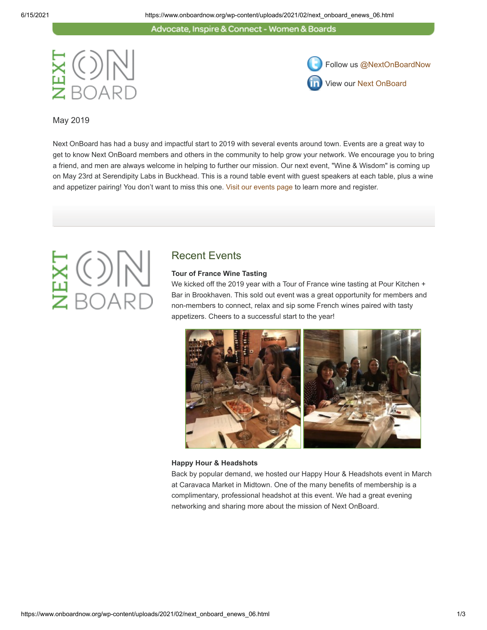Advocate, Inspire & Connect - Women & Boards





May 2019

Next OnBoard has had a busy and impactful start to 2019 with several events around town. Events are a great way to get to know Next OnBoard members and others in the community to help grow your network. We encourage you to bring a friend, and men are always welcome in helping to further our mission. Our next event, "Wine & Wisdom" is coming up on May 23rd at Serendipity Labs in Buckhead. This is a round table event with guest speakers at each table, plus a wine and appetizer pairing! You don't want to miss this one. [Visit our events page](https://www.onboardnow.org/news-events/events/) to learn more and register.

## Recent Events

### **Tour of France Wine Tasting**

We kicked off the 2019 year with a Tour of France wine tasting at Pour Kitchen + Bar in Brookhaven. This sold out event was a great opportunity for members and non-members to connect, relax and sip some French wines paired with tasty appetizers. Cheers to a successful start to the year!



### **Happy Hour & Headshots**

Back by popular demand, we hosted our Happy Hour & Headshots event in March at Caravaca Market in Midtown. One of the many benefits of membership is a complimentary, professional headshot at this event. We had a great evening networking and sharing more about the mission of Next OnBoard.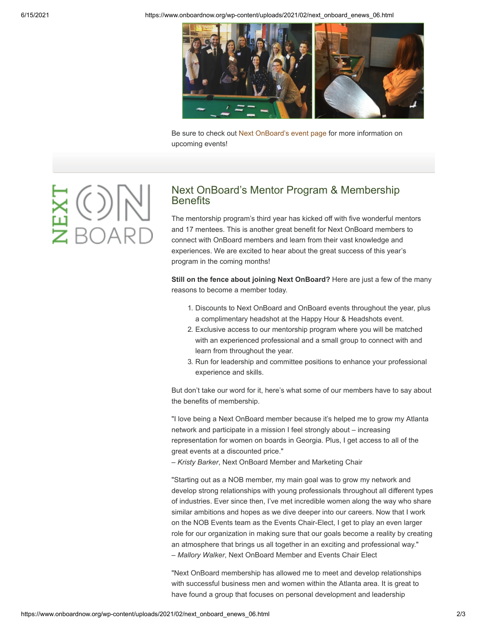6/15/2021 https://www.onboardnow.org/wp-content/uploads/2021/02/next\_onboard\_enews\_06.html



Be sure to check out [Next OnBoard's event page](https://www.onboardnow.org/news-events/events/) for more information on upcoming events!

## Next OnBoard's Mentor Program & Membership **Benefits**

The mentorship program's third year has kicked off with five wonderful mentors and 17 mentees. This is another great benefit for Next OnBoard members to connect with OnBoard members and learn from their vast knowledge and experiences. We are excited to hear about the great success of this year's program in the coming months!

**Still on the fence about joining Next OnBoard?** Here are just a few of the many reasons to become a member today.

- 1. Discounts to Next OnBoard and OnBoard events throughout the year, plus a complimentary headshot at the Happy Hour & Headshots event.
- 2. Exclusive access to our mentorship program where you will be matched with an experienced professional and a small group to connect with and learn from throughout the year.
- 3. Run for leadership and committee positions to enhance your professional experience and skills.

But don't take our word for it, here's what some of our members have to say about the benefits of membership.

"I love being a Next OnBoard member because it's helped me to grow my Atlanta network and participate in a mission I feel strongly about – increasing representation for women on boards in Georgia. Plus, I get access to all of the great events at a discounted price."

– *Kristy Barker*, Next OnBoard Member and Marketing Chair

"Starting out as a NOB member, my main goal was to grow my network and develop strong relationships with young professionals throughout all different types of industries. Ever since then, I've met incredible women along the way who share similar ambitions and hopes as we dive deeper into our careers. Now that I work on the NOB Events team as the Events Chair-Elect, I get to play an even larger role for our organization in making sure that our goals become a reality by creating an atmosphere that brings us all together in an exciting and professional way." – *Mallory Walker*, Next OnBoard Member and Events Chair Elect

"Next OnBoard membership has allowed me to meet and develop relationships with successful business men and women within the Atlanta area. It is great to have found a group that focuses on personal development and leadership